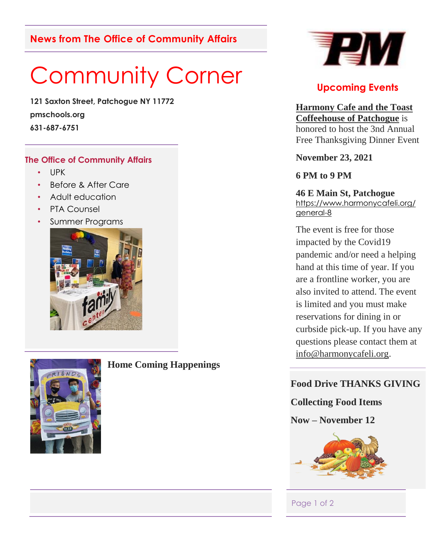# **News from The Office of Community Affairs**

# Community Corner

**121 Saxton Street, Patchogue NY 11772 pmschools.org 631-687-6751**

#### **The Office of Community Affairs**

- UPK
- Before & After Care
- Adult education
- PTA Counsel
- Summer Programs





## **Home Coming Happenings**



## **Upcoming Events**

**Harmony Cafe and the Toast Coffeehouse of Patchogue** is honored to host the 3nd Annual Free Thanksgiving Dinner Event

#### **November 23, 2021**

## **6 PM to 9 PM**

**46 E Main St, Patchogue** [https://www.harmonycafeli.org/](https://www.harmonycafeli.org/general-8) [general-8](https://www.harmonycafeli.org/general-8)

The event is free for those impacted by the Covid19 pandemic and/or need a helping hand at this time of year. If you are a frontline worker, you are also invited to attend. The event is limited and you must make reservations for dining in or curbside pick-up. If you have any questions please contact them at [info@harmonycafeli.org.](mailto:info@harmonycafeli.org)

## **Food Drive THANKS GIVING**

## **Collecting Food Items**

**Now – November 12**



#### Page 1 of 2